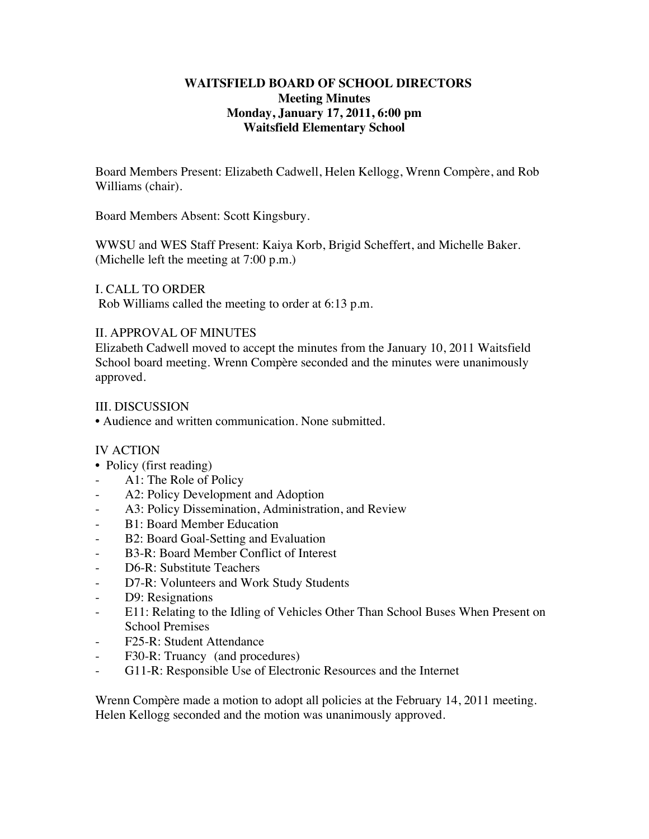### **WAITSFIELD BOARD OF SCHOOL DIRECTORS Meeting Minutes Monday, January 17, 2011, 6:00 pm Waitsfield Elementary School**

Board Members Present: Elizabeth Cadwell, Helen Kellogg, Wrenn Compère, and Rob Williams (chair).

Board Members Absent: Scott Kingsbury.

WWSU and WES Staff Present: Kaiya Korb, Brigid Scheffert, and Michelle Baker. (Michelle left the meeting at 7:00 p.m.)

I. CALL TO ORDER

Rob Williams called the meeting to order at 6:13 p.m.

# II. APPROVAL OF MINUTES

Elizabeth Cadwell moved to accept the minutes from the January 10, 2011 Waitsfield School board meeting. Wrenn Compère seconded and the minutes were unanimously approved.

### III. DISCUSSION

• Audience and written communication. None submitted.

# IV ACTION

- Policy (first reading)
- A1: The Role of Policy
- A2: Policy Development and Adoption
- A3: Policy Dissemination, Administration, and Review
- B1: Board Member Education
- B2: Board Goal-Setting and Evaluation
- B3-R: Board Member Conflict of Interest
- D6-R: Substitute Teachers
- D7-R: Volunteers and Work Study Students
- D9: Resignations
- E11: Relating to the Idling of Vehicles Other Than School Buses When Present on School Premises
- F25-R: Student Attendance
- F30-R: Truancy (and procedures)
- G11-R: Responsible Use of Electronic Resources and the Internet

Wrenn Compère made a motion to adopt all policies at the February 14, 2011 meeting. Helen Kellogg seconded and the motion was unanimously approved.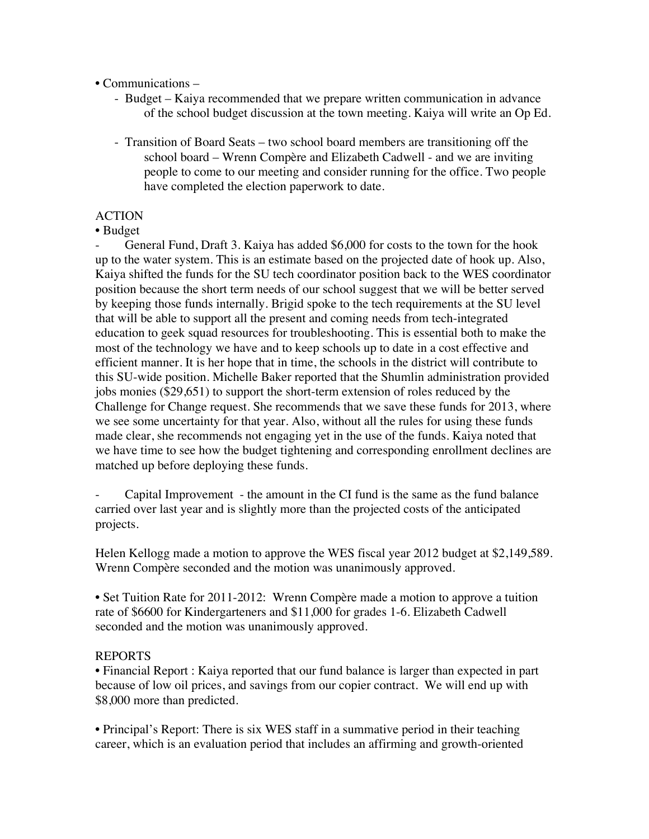• Communications –

- Budget Kaiya recommended that we prepare written communication in advance of the school budget discussion at the town meeting. Kaiya will write an Op Ed.
- Transition of Board Seats two school board members are transitioning off the school board – Wrenn Compère and Elizabeth Cadwell - and we are inviting people to come to our meeting and consider running for the office. Two people have completed the election paperwork to date.

### ACTION

• Budget

General Fund, Draft 3. Kaiya has added \$6,000 for costs to the town for the hook up to the water system. This is an estimate based on the projected date of hook up. Also, Kaiya shifted the funds for the SU tech coordinator position back to the WES coordinator position because the short term needs of our school suggest that we will be better served by keeping those funds internally. Brigid spoke to the tech requirements at the SU level that will be able to support all the present and coming needs from tech-integrated education to geek squad resources for troubleshooting. This is essential both to make the most of the technology we have and to keep schools up to date in a cost effective and efficient manner. It is her hope that in time, the schools in the district will contribute to this SU-wide position. Michelle Baker reported that the Shumlin administration provided jobs monies (\$29,651) to support the short-term extension of roles reduced by the Challenge for Change request. She recommends that we save these funds for 2013, where we see some uncertainty for that year. Also, without all the rules for using these funds made clear, she recommends not engaging yet in the use of the funds. Kaiya noted that we have time to see how the budget tightening and corresponding enrollment declines are matched up before deploying these funds.

Capital Improvement - the amount in the CI fund is the same as the fund balance carried over last year and is slightly more than the projected costs of the anticipated projects.

Helen Kellogg made a motion to approve the WES fiscal year 2012 budget at \$2,149,589. Wrenn Compère seconded and the motion was unanimously approved.

• Set Tuition Rate for 2011-2012: Wrenn Compère made a motion to approve a tuition rate of \$6600 for Kindergarteners and \$11,000 for grades 1-6. Elizabeth Cadwell seconded and the motion was unanimously approved.

#### REPORTS

• Financial Report : Kaiya reported that our fund balance is larger than expected in part because of low oil prices, and savings from our copier contract. We will end up with \$8,000 more than predicted.

• Principal's Report: There is six WES staff in a summative period in their teaching career, which is an evaluation period that includes an affirming and growth-oriented